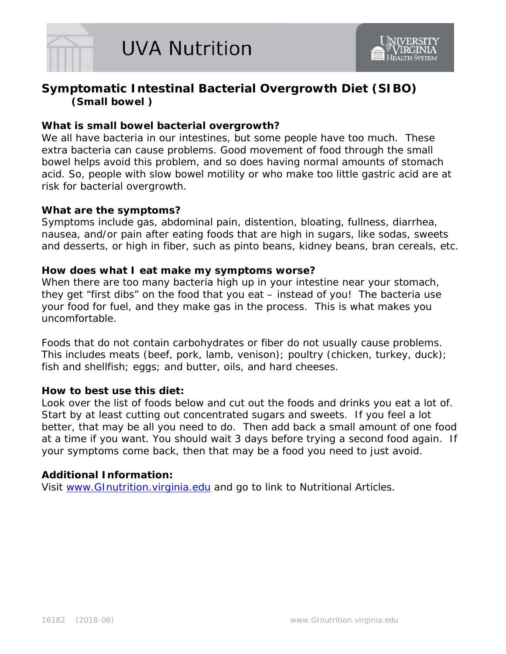

# **Symptomatic Intestinal Bacterial Overgrowth Diet (SIBO) (Small bowel )**

## **What is small bowel bacterial overgrowth?**

We all have bacteria in our intestines, but some people have too much. These extra bacteria can cause problems. Good movement of food through the small bowel helps avoid this problem, and so does having normal amounts of stomach acid. So, people with slow bowel motility or who make too little gastric acid are at risk for bacterial overgrowth.

### **What are the symptoms?**

Symptoms include gas, abdominal pain, distention, bloating, fullness, diarrhea, nausea, and/or pain after eating foods that are high in sugars, like sodas, sweets and desserts, or high in fiber, such as pinto beans, kidney beans, bran cereals, etc.

### **How does what I eat make my symptoms worse?**

When there are too many bacteria high up in your intestine near your stomach, they get "first dibs" on the food that you eat – instead of you! The bacteria use your food for fuel, and they make gas in the process. This is what makes you uncomfortable.

Foods that do not contain carbohydrates or fiber do not usually cause problems. This includes meats (beef, pork, lamb, venison); poultry (chicken, turkey, duck); fish and shellfish; eggs; and butter, oils, and hard cheeses.

### **How to best use this diet:**

Look over the list of foods below and cut out the foods and drinks you eat a lot of. Start by at least cutting out concentrated sugars and sweets. If you feel a lot better, that may be all you need to do. Then add back a small amount of one food at a time if you want. You should wait 3 days before trying a second food again. If your symptoms come back, then that may be a food you need to just avoid.

### **Additional Information:**

Visit [www.GInutrition.virginia.edu](http://www.ginutrition.virginia.edu/) and go to link to Nutritional Articles.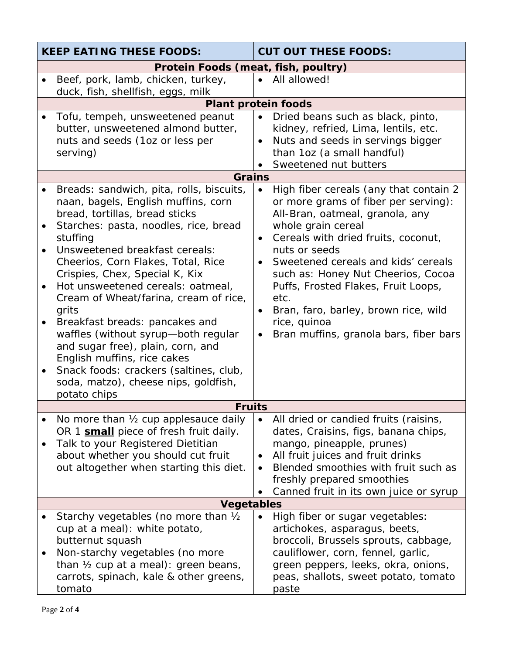| <b>KEEP EATING THESE FOODS:</b>     |                                                                                                                                                                                                                                                                                                                                                                                                                                                                                                                                                                                                        | <b>CUT OUT THESE FOODS:</b>                                                                                                                                                                                                                                                                                                                                                                                                                             |  |  |  |  |  |  |
|-------------------------------------|--------------------------------------------------------------------------------------------------------------------------------------------------------------------------------------------------------------------------------------------------------------------------------------------------------------------------------------------------------------------------------------------------------------------------------------------------------------------------------------------------------------------------------------------------------------------------------------------------------|---------------------------------------------------------------------------------------------------------------------------------------------------------------------------------------------------------------------------------------------------------------------------------------------------------------------------------------------------------------------------------------------------------------------------------------------------------|--|--|--|--|--|--|
| Protein Foods (meat, fish, poultry) |                                                                                                                                                                                                                                                                                                                                                                                                                                                                                                                                                                                                        |                                                                                                                                                                                                                                                                                                                                                                                                                                                         |  |  |  |  |  |  |
|                                     | Beef, pork, lamb, chicken, turkey,                                                                                                                                                                                                                                                                                                                                                                                                                                                                                                                                                                     | All allowed!<br>$\bullet$                                                                                                                                                                                                                                                                                                                                                                                                                               |  |  |  |  |  |  |
|                                     | duck, fish, shellfish, eggs, milk                                                                                                                                                                                                                                                                                                                                                                                                                                                                                                                                                                      |                                                                                                                                                                                                                                                                                                                                                                                                                                                         |  |  |  |  |  |  |
|                                     | <b>Plant protein foods</b><br>Tofu, tempeh, unsweetened peanut                                                                                                                                                                                                                                                                                                                                                                                                                                                                                                                                         |                                                                                                                                                                                                                                                                                                                                                                                                                                                         |  |  |  |  |  |  |
|                                     | butter, unsweetened almond butter,<br>nuts and seeds (1oz or less per<br>serving)                                                                                                                                                                                                                                                                                                                                                                                                                                                                                                                      | Dried beans such as black, pinto,<br>kidney, refried, Lima, lentils, etc.<br>Nuts and seeds in servings bigger<br>than 1oz (a small handful)<br>Sweetened nut butters                                                                                                                                                                                                                                                                                   |  |  |  |  |  |  |
|                                     | <b>Grains</b>                                                                                                                                                                                                                                                                                                                                                                                                                                                                                                                                                                                          |                                                                                                                                                                                                                                                                                                                                                                                                                                                         |  |  |  |  |  |  |
| $\bullet$                           | Breads: sandwich, pita, rolls, biscuits,<br>naan, bagels, English muffins, corn<br>bread, tortillas, bread sticks<br>Starches: pasta, noodles, rice, bread<br>stuffing<br>Unsweetened breakfast cereals:<br>Cheerios, Corn Flakes, Total, Rice<br>Crispies, Chex, Special K, Kix<br>Hot unsweetened cereals: oatmeal,<br>Cream of Wheat/farina, cream of rice,<br>grits<br>Breakfast breads: pancakes and<br>waffles (without syrup-both regular<br>and sugar free), plain, corn, and<br>English muffins, rice cakes<br>Snack foods: crackers (saltines, club,<br>soda, matzo), cheese nips, goldfish, | High fiber cereals (any that contain 2<br>or more grams of fiber per serving):<br>All-Bran, oatmeal, granola, any<br>whole grain cereal<br>Cereals with dried fruits, coconut,<br>$\bullet$<br>nuts or seeds<br>Sweetened cereals and kids' cereals<br>such as: Honey Nut Cheerios, Cocoa<br>Puffs, Frosted Flakes, Fruit Loops,<br>etc.<br>Bran, faro, barley, brown rice, wild<br>$\bullet$<br>rice, quinoa<br>Bran muffins, granola bars, fiber bars |  |  |  |  |  |  |
|                                     | potato chips<br><b>Fruits</b>                                                                                                                                                                                                                                                                                                                                                                                                                                                                                                                                                                          |                                                                                                                                                                                                                                                                                                                                                                                                                                                         |  |  |  |  |  |  |
|                                     | No more than 1/2 cup applesauce daily                                                                                                                                                                                                                                                                                                                                                                                                                                                                                                                                                                  | All dried or candied fruits (raisins,                                                                                                                                                                                                                                                                                                                                                                                                                   |  |  |  |  |  |  |
|                                     | OR 1 small piece of fresh fruit daily.<br>Talk to your Registered Dietitian<br>about whether you should cut fruit<br>out altogether when starting this diet.                                                                                                                                                                                                                                                                                                                                                                                                                                           | dates, Craisins, figs, banana chips,<br>mango, pineapple, prunes)<br>All fruit juices and fruit drinks<br>Blended smoothies with fruit such as<br>freshly prepared smoothies<br>Canned fruit in its own juice or syrup                                                                                                                                                                                                                                  |  |  |  |  |  |  |
|                                     | <b>Vegetables</b>                                                                                                                                                                                                                                                                                                                                                                                                                                                                                                                                                                                      |                                                                                                                                                                                                                                                                                                                                                                                                                                                         |  |  |  |  |  |  |
|                                     | Starchy vegetables (no more than 1/2<br>cup at a meal): white potato,<br>butternut squash<br>Non-starchy vegetables (no more<br>than 1/2 cup at a meal): green beans,<br>carrots, spinach, kale & other greens,<br>tomato                                                                                                                                                                                                                                                                                                                                                                              | High fiber or sugar vegetables:<br>artichokes, asparagus, beets,<br>broccoli, Brussels sprouts, cabbage,<br>cauliflower, corn, fennel, garlic,<br>green peppers, leeks, okra, onions,<br>peas, shallots, sweet potato, tomato<br>paste                                                                                                                                                                                                                  |  |  |  |  |  |  |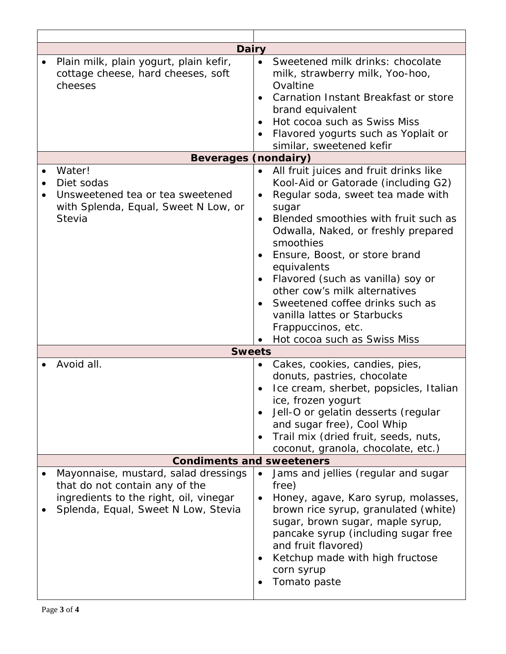| Dairy                                                                                   |           |                                                                                 |
|-----------------------------------------------------------------------------------------|-----------|---------------------------------------------------------------------------------|
| Plain milk, plain yogurt, plain kefir,<br>cottage cheese, hard cheeses, soft<br>cheeses | $\bullet$ | Sweetened milk drinks: chocolate<br>milk, strawberry milk, Yoo-hoo,<br>Ovaltine |
|                                                                                         |           | Carnation Instant Breakfast or store                                            |
|                                                                                         |           | brand equivalent<br>Hot cocoa such as Swiss Miss                                |
|                                                                                         |           | Flavored yogurts such as Yoplait or                                             |
|                                                                                         |           | similar, sweetened kefir                                                        |
| <b>Beverages (nondairy)</b>                                                             |           |                                                                                 |
| Water!                                                                                  |           | All fruit juices and fruit drinks like                                          |
| Diet sodas                                                                              |           | Kool-Aid or Gatorade (including G2)                                             |
| Unsweetened tea or tea sweetened                                                        |           | Regular soda, sweet tea made with                                               |
| with Splenda, Equal, Sweet N Low, or                                                    |           | sugar                                                                           |
| Stevia                                                                                  | $\bullet$ | Blended smoothies with fruit such as                                            |
|                                                                                         |           | Odwalla, Naked, or freshly prepared<br>smoothies                                |
|                                                                                         |           | Ensure, Boost, or store brand                                                   |
|                                                                                         |           | equivalents                                                                     |
|                                                                                         |           | Flavored (such as vanilla) soy or                                               |
|                                                                                         |           | other cow's milk alternatives                                                   |
|                                                                                         |           | Sweetened coffee drinks such as                                                 |
|                                                                                         |           | vanilla lattes or Starbucks                                                     |
|                                                                                         |           | Frappuccinos, etc.                                                              |
|                                                                                         |           | Hot cocoa such as Swiss Miss                                                    |
| <b>Sweets</b>                                                                           |           |                                                                                 |
| Avoid all.                                                                              |           | Cakes, cookies, candies, pies,                                                  |
|                                                                                         |           | donuts, pastries, chocolate                                                     |
|                                                                                         |           | Ice cream, sherbet, popsicles, Italian                                          |
|                                                                                         |           | ice, frozen yogurt                                                              |
|                                                                                         |           | Jell-O or gelatin desserts (regular<br>and sugar free), Cool Whip               |
|                                                                                         | $\bullet$ | Trail mix (dried fruit, seeds, nuts,                                            |
|                                                                                         |           | coconut, granola, chocolate, etc.)                                              |
| <b>Condiments and sweeteners</b>                                                        |           |                                                                                 |
| Mayonnaise, mustard, salad dressings                                                    |           | Jams and jellies (regular and sugar                                             |
| that do not contain any of the                                                          |           | free)                                                                           |
| ingredients to the right, oil, vinegar                                                  |           | Honey, agave, Karo syrup, molasses,                                             |
| Splenda, Equal, Sweet N Low, Stevia                                                     |           | brown rice syrup, granulated (white)                                            |
|                                                                                         |           | sugar, brown sugar, maple syrup,                                                |
|                                                                                         |           | pancake syrup (including sugar free                                             |
|                                                                                         |           | and fruit flavored)<br>Ketchup made with high fructose                          |
|                                                                                         |           | corn syrup                                                                      |
|                                                                                         |           | Tomato paste                                                                    |
|                                                                                         |           |                                                                                 |